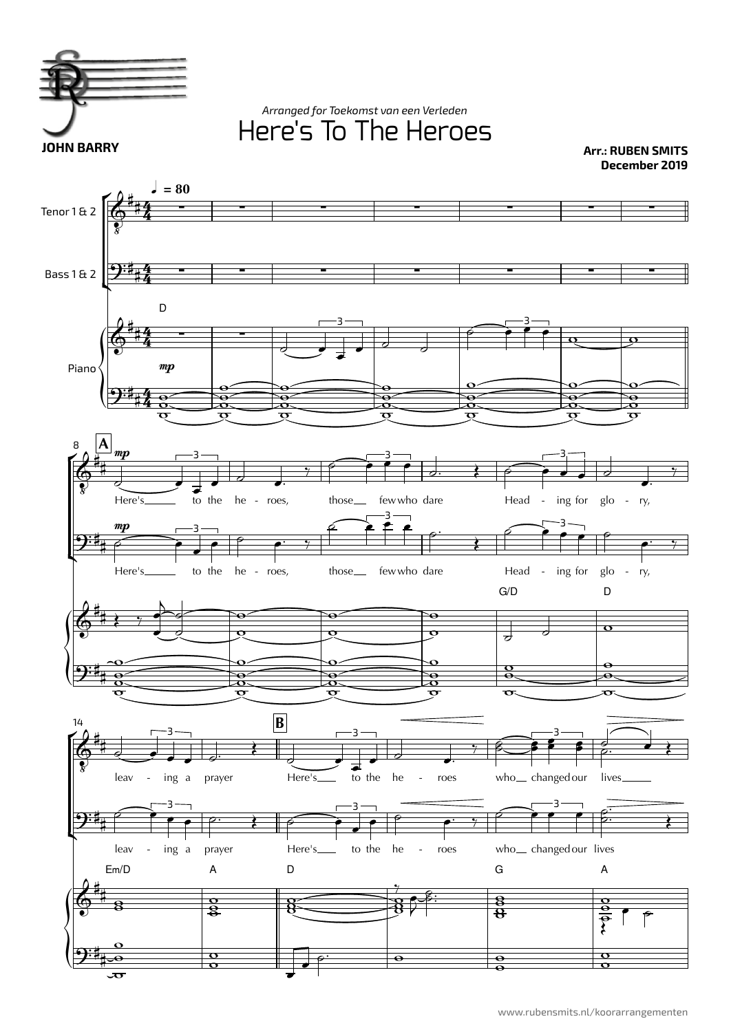